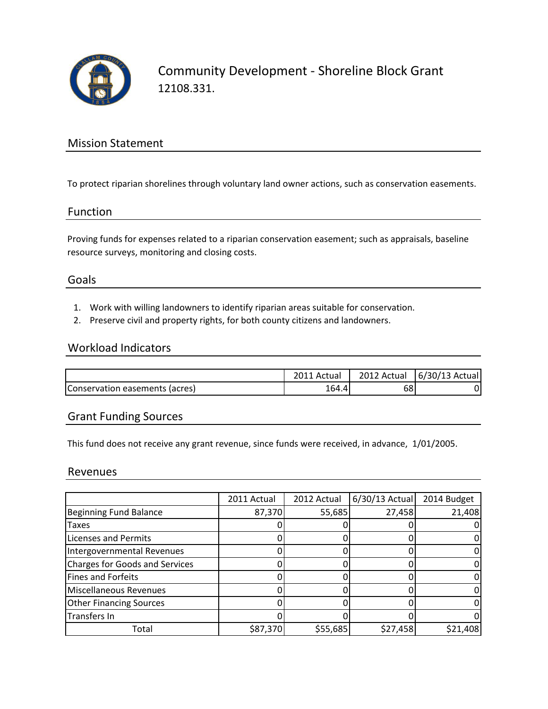

Community Development - Shoreline Block Grant 12108.331.

## Mission Statement

To protect riparian shorelines through voluntary land owner actions, such as conservation easements.

#### Function

Proving funds for expenses related to a riparian conservation easement; such as appraisals, baseline resource surveys, monitoring and closing costs.

## Goals

- 1. Work with willing landowners to identify riparian areas suitable for conservation.
- 2. Preserve civil and property rights, for both county citizens and landowners.

### Workload Indicators

|                                | Actual | 2012 Actual | 6/30/13 Actual |
|--------------------------------|--------|-------------|----------------|
| Conservation easements (acres) | 164.4  | 68          |                |

## Grant Funding Sources

This fund does not receive any grant revenue, since funds were received, in advance, 1/01/2005.

#### Revenues

|                                       | 2011 Actual | 2012 Actual | $6/30/13$ Actual | 2014 Budget |
|---------------------------------------|-------------|-------------|------------------|-------------|
| <b>Beginning Fund Balance</b>         | 87,370      | 55,685      | 27,458           | 21,408      |
| <b>Taxes</b>                          |             |             |                  |             |
| <b>Licenses and Permits</b>           |             |             |                  |             |
| Intergovernmental Revenues            |             |             |                  |             |
| <b>Charges for Goods and Services</b> |             |             |                  |             |
| Fines and Forfeits                    |             |             |                  |             |
| Miscellaneous Revenues                |             |             |                  |             |
| <b>Other Financing Sources</b>        |             |             |                  |             |
| Transfers In                          |             |             |                  |             |
| Total                                 | \$87,370    | \$55,685    | \$27,458         | \$21,408    |